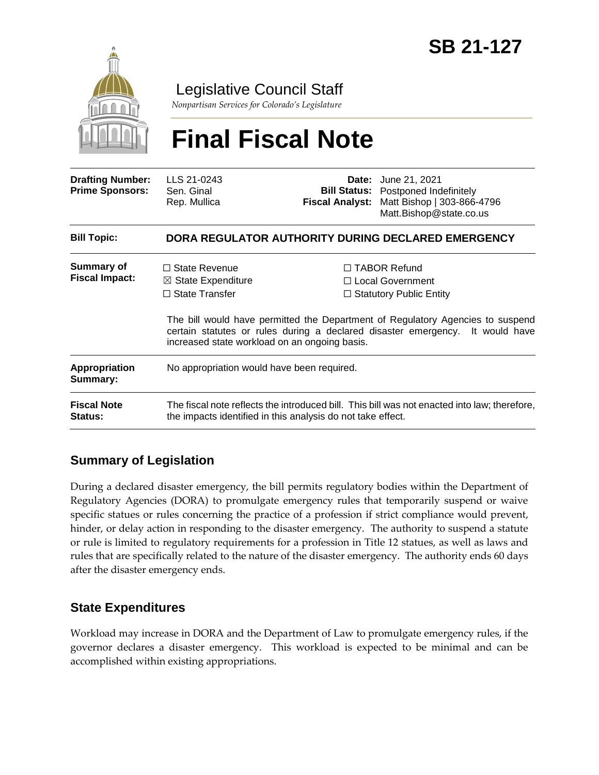

Legislative Council Staff

*Nonpartisan Services for Colorado's Legislature*

# **Final Fiscal Note**

| <b>Drafting Number:</b><br><b>Prime Sponsors:</b> | LLS 21-0243<br>Sen. Ginal<br>Rep. Mullica                                                                                                                                                                        | Fiscal Analyst: | <b>Date:</b> June 21, 2021<br><b>Bill Status:</b> Postponed Indefinitely<br>Matt Bishop   303-866-4796<br>Matt.Bishop@state.co.us |  |
|---------------------------------------------------|------------------------------------------------------------------------------------------------------------------------------------------------------------------------------------------------------------------|-----------------|-----------------------------------------------------------------------------------------------------------------------------------|--|
| <b>Bill Topic:</b>                                | DORA REGULATOR AUTHORITY DURING DECLARED EMERGENCY                                                                                                                                                               |                 |                                                                                                                                   |  |
| <b>Summary of</b><br><b>Fiscal Impact:</b>        | $\Box$ State Revenue<br>$\boxtimes$ State Expenditure                                                                                                                                                            |                 | $\Box$ TABOR Refund<br>$\Box$ Local Government                                                                                    |  |
|                                                   | $\Box$ State Transfer                                                                                                                                                                                            |                 | $\Box$ Statutory Public Entity                                                                                                    |  |
|                                                   | The bill would have permitted the Department of Regulatory Agencies to suspend<br>certain statutes or rules during a declared disaster emergency. It would have<br>increased state workload on an ongoing basis. |                 |                                                                                                                                   |  |
| <b>Appropriation</b><br>Summary:                  | No appropriation would have been required.                                                                                                                                                                       |                 |                                                                                                                                   |  |
| <b>Fiscal Note</b><br><b>Status:</b>              | The fiscal note reflects the introduced bill. This bill was not enacted into law; therefore,<br>the impacts identified in this analysis do not take effect.                                                      |                 |                                                                                                                                   |  |

## **Summary of Legislation**

During a declared disaster emergency, the bill permits regulatory bodies within the Department of Regulatory Agencies (DORA) to promulgate emergency rules that temporarily suspend or waive specific statues or rules concerning the practice of a profession if strict compliance would prevent, hinder, or delay action in responding to the disaster emergency. The authority to suspend a statute or rule is limited to regulatory requirements for a profession in Title 12 statues, as well as laws and rules that are specifically related to the nature of the disaster emergency. The authority ends 60 days after the disaster emergency ends.

## **State Expenditures**

Workload may increase in DORA and the Department of Law to promulgate emergency rules, if the governor declares a disaster emergency. This workload is expected to be minimal and can be accomplished within existing appropriations.